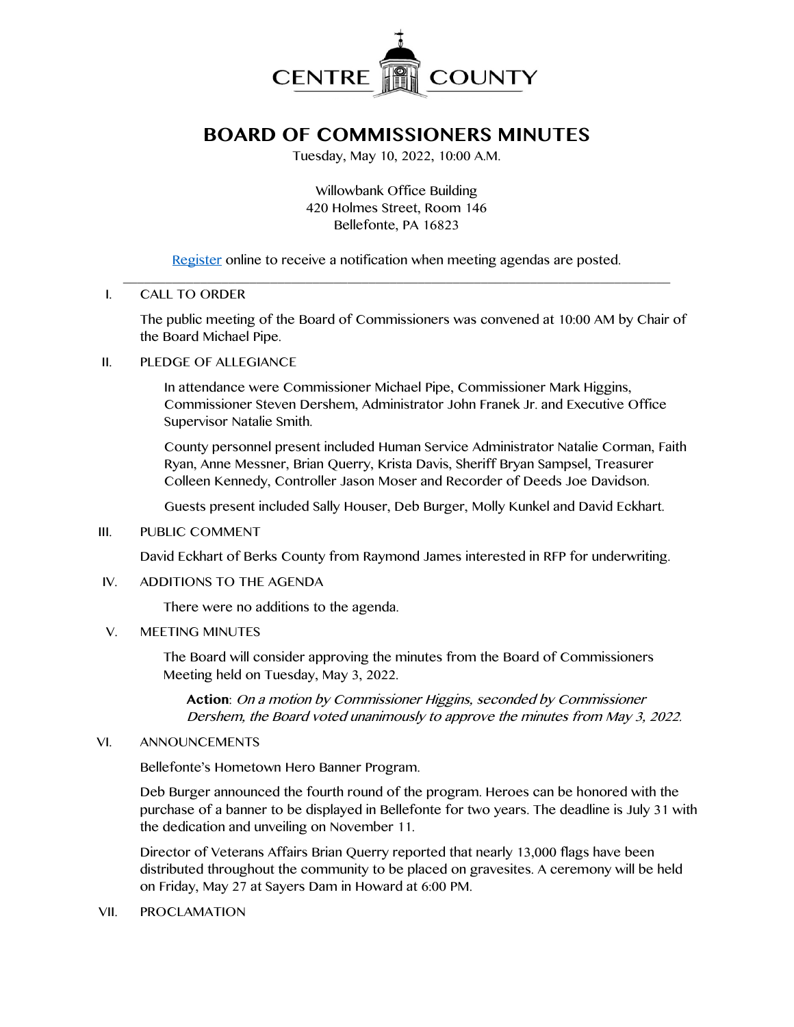

# **BOARD OF COMMISSIONERS MINUTES**

Tuesday, May 10, 2022, 10:00 A.M.

Willowbank Office Building 420 Holmes Street, Room 146 Bellefonte, PA 16823

[Register](http://www.centrecountypa.gov/AgendaCenter) online to receive a notification when meeting agendas are posted.

#### \_\_\_\_\_\_\_\_\_\_\_\_\_\_\_\_\_\_\_\_\_\_\_\_\_\_\_\_\_\_\_\_\_\_\_\_\_\_\_\_\_\_\_\_\_\_\_\_\_\_\_\_\_\_\_\_\_\_\_\_\_\_\_\_\_\_\_\_\_\_\_\_\_\_\_\_\_\_ I. CALL TO ORDER

The public meeting of the Board of Commissioners was convened at 10:00 AM by Chair of the Board Michael Pipe.

## II. PLEDGE OF ALLEGIANCE

In attendance were Commissioner Michael Pipe, Commissioner Mark Higgins, Commissioner Steven Dershem, Administrator John Franek Jr. and Executive Office Supervisor Natalie Smith.

County personnel present included Human Service Administrator Natalie Corman, Faith Ryan, Anne Messner, Brian Querry, Krista Davis, Sheriff Bryan Sampsel, Treasurer Colleen Kennedy, Controller Jason Moser and Recorder of Deeds Joe Davidson.

Guests present included Sally Houser, Deb Burger, Molly Kunkel and David Eckhart.

#### III. PUBLIC COMMENT

David Eckhart of Berks County from Raymond James interested in RFP for underwriting.

#### IV. ADDITIONS TO THE AGENDA

There were no additions to the agenda.

#### V. MEETING MINUTES

The Board will consider approving the minutes from the Board of Commissioners Meeting held on Tuesday, May 3, 2022.

**Action**: On a motion by Commissioner Higgins, seconded by Commissioner Dershem, the Board voted unanimously to approve the minutes from May 3, 2022.

#### VI. ANNOUNCEMENTS

Bellefonte's Hometown Hero Banner Program.

Deb Burger announced the fourth round of the program. Heroes can be honored with the purchase of a banner to be displayed in Bellefonte for two years. The deadline is July 31 with the dedication and unveiling on November 11.

Director of Veterans Affairs Brian Querry reported that nearly 13,000 flags have been distributed throughout the community to be placed on gravesites. A ceremony will be held on Friday, May 27 at Sayers Dam in Howard at 6:00 PM.

VII. PROCLAMATION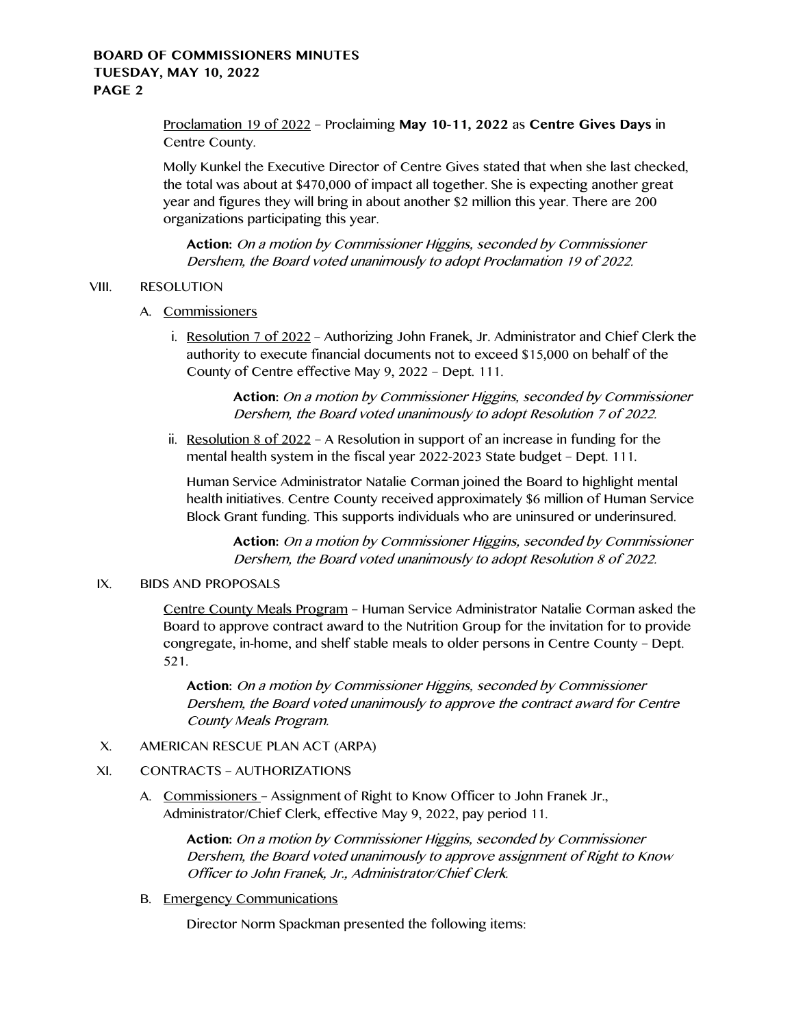Proclamation 19 of 2022 – Proclaiming **May 10-11, 2022** as **Centre Gives Days** in Centre County.

Molly Kunkel the Executive Director of Centre Gives stated that when she last checked, the total was about at \$470,000 of impact all together. She is expecting another great year and figures they will bring in about another \$2 million this year. There are 200 organizations participating this year.

**Action:** On a motion by Commissioner Higgins, seconded by Commissioner Dershem, the Board voted unanimously to adopt Proclamation 19 of 2022.

# VIII. RESOLUTION

- A. Commissioners
	- i. Resolution 7 of 2022 Authorizing John Franek, Jr. Administrator and Chief Clerk the authority to execute financial documents not to exceed \$15,000 on behalf of the County of Centre effective May 9, 2022 – Dept. 111.

**Action:** On a motion by Commissioner Higgins, seconded by Commissioner Dershem, the Board voted unanimously to adopt Resolution 7 of 2022.

ii. Resolution 8 of  $2022 - A$  Resolution in support of an increase in funding for the mental health system in the fiscal year 2022-2023 State budget – Dept. 111.

Human Service Administrator Natalie Corman joined the Board to highlight mental health initiatives. Centre County received approximately \$6 million of Human Service Block Grant funding. This supports individuals who are uninsured or underinsured.

**Action:** On a motion by Commissioner Higgins, seconded by Commissioner Dershem, the Board voted unanimously to adopt Resolution 8 of 2022.

#### IX. BIDS AND PROPOSALS

Centre County Meals Program – Human Service Administrator Natalie Corman asked the Board to approve contract award to the Nutrition Group for the invitation for to provide congregate, in-home, and shelf stable meals to older persons in Centre County – Dept. 521.

**Action:** On a motion by Commissioner Higgins, seconded by Commissioner Dershem, the Board voted unanimously to approve the contract award for Centre County Meals Program.

# X. AMERICAN RESCUE PLAN ACT (ARPA)

# XI. CONTRACTS – AUTHORIZATIONS

A. Commissioners – Assignment of Right to Know Officer to John Franek Jr., Administrator/Chief Clerk, effective May 9, 2022, pay period 11.

> **Action:** On a motion by Commissioner Higgins, seconded by Commissioner Dershem, the Board voted unanimously to approve assignment of Right to Know Officer to John Franek, Jr., Administrator/Chief Clerk.

B. Emergency Communications

Director Norm Spackman presented the following items: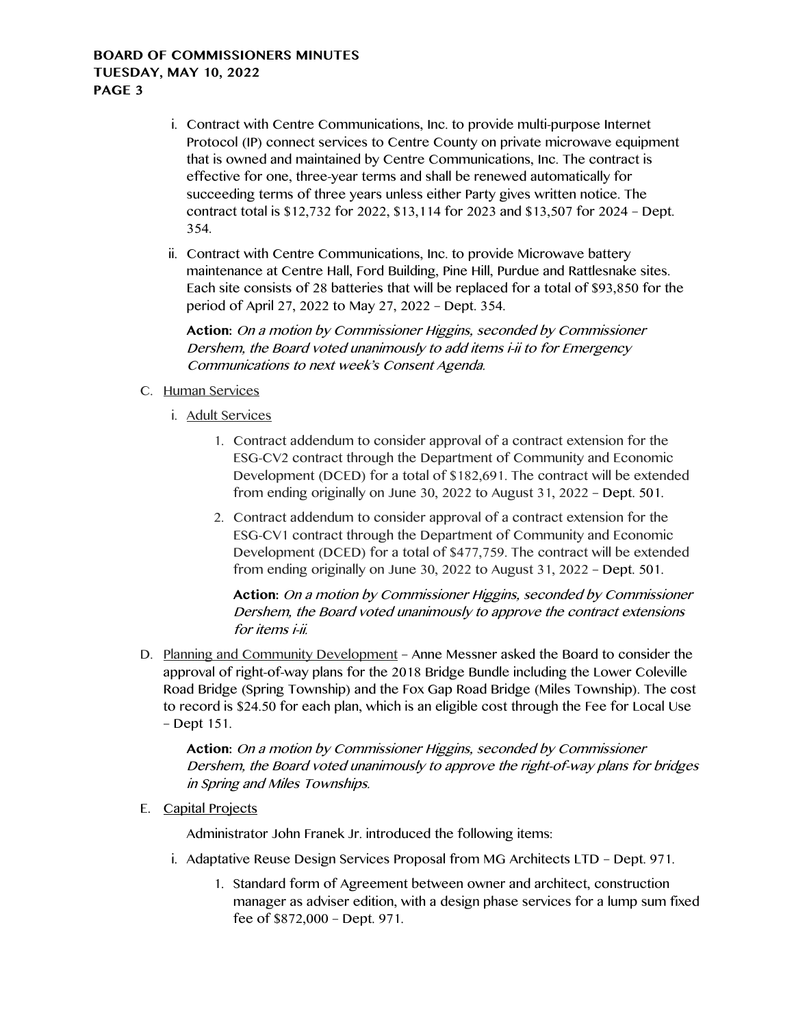- i. Contract with Centre Communications, Inc. to provide multi-purpose Internet Protocol (IP) connect services to Centre County on private microwave equipment that is owned and maintained by Centre Communications, Inc. The contract is effective for one, three-year terms and shall be renewed automatically for succeeding terms of three years unless either Party gives written notice. The contract total is \$12,732 for 2022, \$13,114 for 2023 and \$13,507 for 2024 – Dept. 354.
- ii. Contract with Centre Communications, Inc. to provide Microwave battery maintenance at Centre Hall, Ford Building, Pine Hill, Purdue and Rattlesnake sites. Each site consists of 28 batteries that will be replaced for a total of \$93,850 for the period of April 27, 2022 to May 27, 2022 – Dept. 354.

**Action:** On a motion by Commissioner Higgins, seconded by Commissioner Dershem, the Board voted unanimously to add items i-ii to for Emergency Communications to next week's Consent Agenda.

- C. Human Services
	- i. Adult Services
		- 1. Contract addendum to consider approval of a contract extension for the ESG-CV2 contract through the Department of Community and Economic Development (DCED) for a total of \$182,691. The contract will be extended from ending originally on June 30, 2022 to August 31, 2022 – Dept. 501.
		- 2. Contract addendum to consider approval of a contract extension for the ESG-CV1 contract through the Department of Community and Economic Development (DCED) for a total of \$477,759. The contract will be extended from ending originally on June 30, 2022 to August 31, 2022 – Dept. 501.

**Action:** On a motion by Commissioner Higgins, seconded by Commissioner Dershem, the Board voted unanimously to approve the contract extensions for items i-ii.

D. Planning and Community Development – Anne Messner asked the Board to consider the approval of right-of-way plans for the 2018 Bridge Bundle including the Lower Coleville Road Bridge (Spring Township) and the Fox Gap Road Bridge (Miles Township). The cost to record is \$24.50 for each plan, which is an eligible cost through the Fee for Local Use – Dept 151.

**Action:** On a motion by Commissioner Higgins, seconded by Commissioner Dershem, the Board voted unanimously to approve the right-of-way plans for bridges in Spring and Miles Townships.

E. Capital Projects

Administrator John Franek Jr. introduced the following items:

- i. Adaptative Reuse Design Services Proposal from MG Architects LTD Dept. 971.
	- 1. Standard form of Agreement between owner and architect, construction manager as adviser edition, with a design phase services for a lump sum fixed fee of \$872,000 – Dept. 971.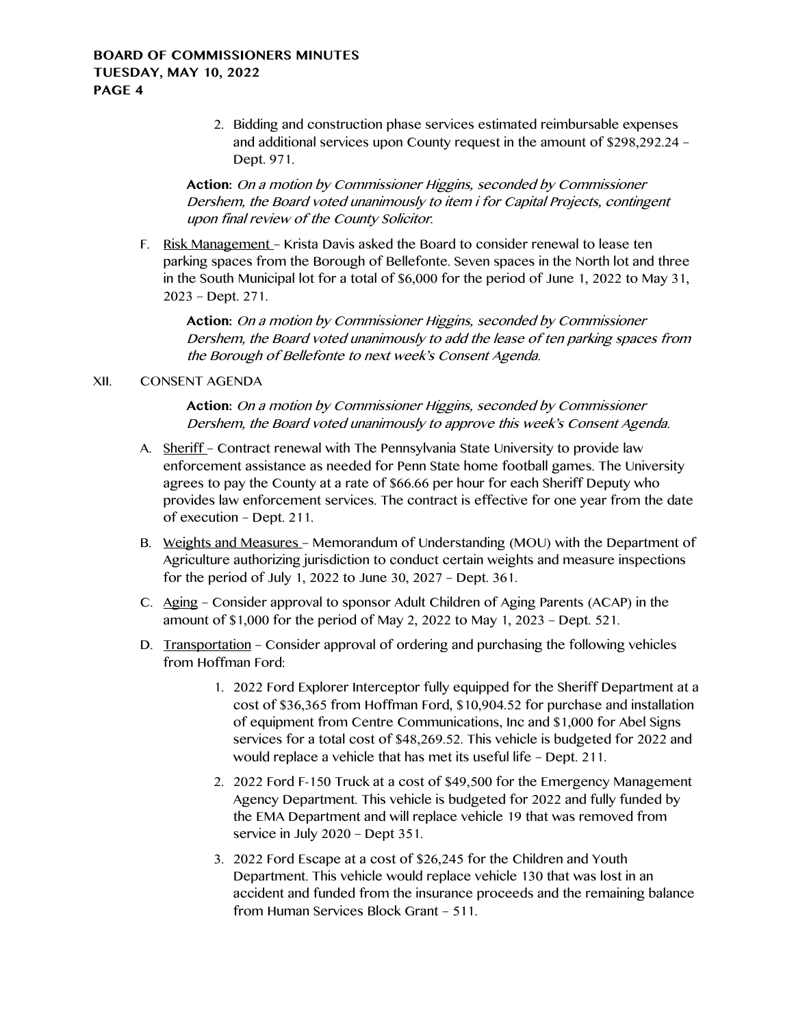2. Bidding and construction phase services estimated reimbursable expenses and additional services upon County request in the amount of \$298,292.24 – Dept. 971.

**Action:** On a motion by Commissioner Higgins, seconded by Commissioner Dershem, the Board voted unanimously to item i for Capital Projects, contingent upon final review of the County Solicitor.

F. Risk Management – Krista Davis asked the Board to consider renewal to lease ten parking spaces from the Borough of Bellefonte. Seven spaces in the North lot and three in the South Municipal lot for a total of \$6,000 for the period of June 1, 2022 to May 31, 2023 – Dept. 271.

**Action:** On a motion by Commissioner Higgins, seconded by Commissioner Dershem, the Board voted unanimously to add the lease of ten parking spaces from the Borough of Bellefonte to next week's Consent Agenda.

#### XII. CONSENT AGENDA

**Action:** On a motion by Commissioner Higgins, seconded by Commissioner Dershem, the Board voted unanimously to approve this week's Consent Agenda.

- A. Sheriff Contract renewal with The Pennsylvania State University to provide law enforcement assistance as needed for Penn State home football games. The University agrees to pay the County at a rate of \$66.66 per hour for each Sheriff Deputy who provides law enforcement services. The contract is effective for one year from the date of execution – Dept. 211.
- B. Weights and Measures Memorandum of Understanding (MOU) with the Department of Agriculture authorizing jurisdiction to conduct certain weights and measure inspections for the period of July 1, 2022 to June 30, 2027 – Dept. 361.
- C. Aging Consider approval to sponsor Adult Children of Aging Parents (ACAP) in the amount of \$1,000 for the period of May 2, 2022 to May 1, 2023 – Dept. 521.
- D. Transportation Consider approval of ordering and purchasing the following vehicles from Hoffman Ford:
	- 1. 2022 Ford Explorer Interceptor fully equipped for the Sheriff Department at a cost of \$36,365 from Hoffman Ford, \$10,904.52 for purchase and installation of equipment from Centre Communications, Inc and \$1,000 for Abel Signs services for a total cost of \$48,269.52. This vehicle is budgeted for 2022 and would replace a vehicle that has met its useful life – Dept. 211.
	- 2. 2022 Ford F-150 Truck at a cost of \$49,500 for the Emergency Management Agency Department. This vehicle is budgeted for 2022 and fully funded by the EMA Department and will replace vehicle 19 that was removed from service in July 2020 – Dept 351.
	- 3. 2022 Ford Escape at a cost of \$26,245 for the Children and Youth Department. This vehicle would replace vehicle 130 that was lost in an accident and funded from the insurance proceeds and the remaining balance from Human Services Block Grant – 511.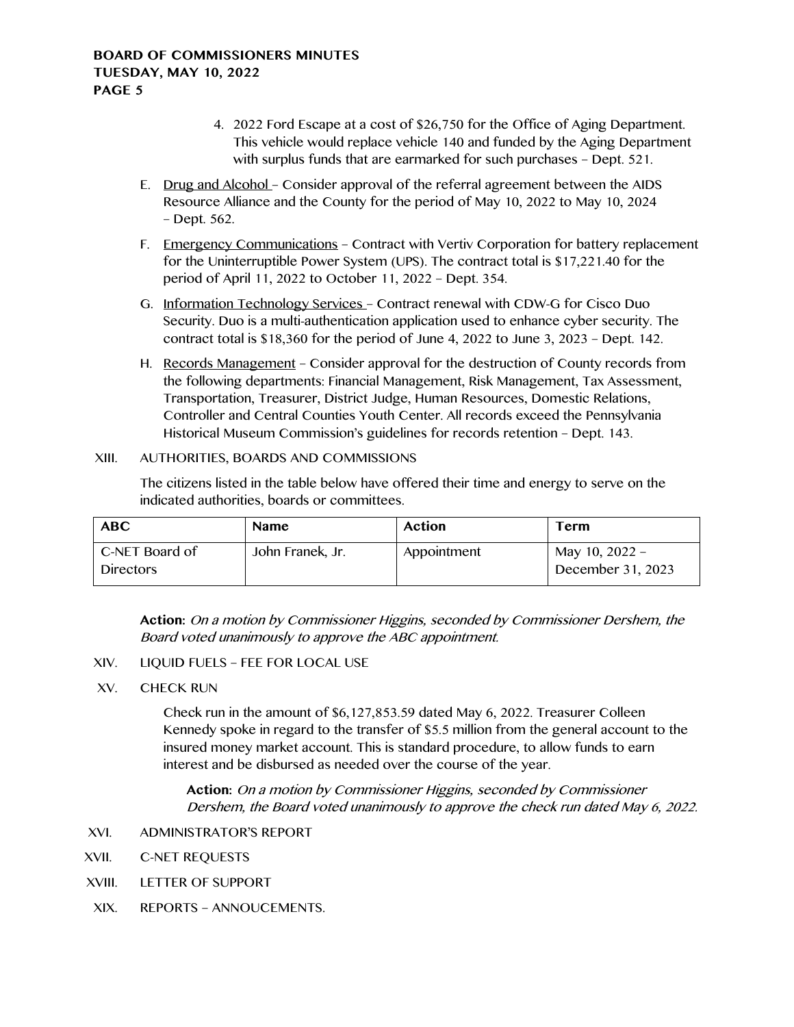- 4. 2022 Ford Escape at a cost of \$26,750 for the Office of Aging Department. This vehicle would replace vehicle 140 and funded by the Aging Department with surplus funds that are earmarked for such purchases – Dept. 521.
- E. Drug and Alcohol Consider approval of the referral agreement between the AIDS Resource Alliance and the County for the period of May 10, 2022 to May 10, 2024 – Dept. 562.
- F. Emergency Communications Contract with Vertiv Corporation for battery replacement for the Uninterruptible Power System (UPS). The contract total is \$17,221.40 for the period of April 11, 2022 to October 11, 2022 – Dept. 354.
- G. Information Technology Services Contract renewal with CDW-G for Cisco Duo Security. Duo is a multi-authentication application used to enhance cyber security. The contract total is \$18,360 for the period of June 4, 2022 to June 3, 2023 – Dept. 142.
- H. Records Management Consider approval for the destruction of County records from the following departments: Financial Management, Risk Management, Tax Assessment, Transportation, Treasurer, District Judge, Human Resources, Domestic Relations, Controller and Central Counties Youth Center. All records exceed the Pennsylvania Historical Museum Commission's guidelines for records retention – Dept. 143.

## XIII. AUTHORITIES, BOARDS AND COMMISSIONS

The citizens listed in the table below have offered their time and energy to serve on the indicated authorities, boards or committees.

| <b>ABC</b>                         | <b>Name</b>      | Action      | Term                                  |
|------------------------------------|------------------|-------------|---------------------------------------|
| C-NET Board of<br><b>Directors</b> | John Franek, Jr. | Appointment | May 10, $2022 -$<br>December 31, 2023 |

**Action:** On a motion by Commissioner Higgins, seconded by Commissioner Dershem, the Board voted unanimously to approve the ABC appointment.

- XIV. LIQUID FUELS FEE FOR LOCAL USE
- XV. CHECK RUN

Check run in the amount of \$6,127,853.59 dated May 6, 2022. Treasurer Colleen Kennedy spoke in regard to the transfer of \$5.5 million from the general account to the insured money market account. This is standard procedure, to allow funds to earn interest and be disbursed as needed over the course of the year.

**Action:** On a motion by Commissioner Higgins, seconded by Commissioner Dershem, the Board voted unanimously to approve the check run dated May 6, 2022.

- XVI. ADMINISTRATOR'S REPORT
- XVII. C-NET REQUESTS
- XVIII. LETTER OF SUPPORT
- XIX. REPORTS ANNOUCEMENTS.